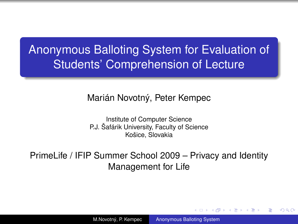## Anonymous Balloting System for Evaluation of Students' Comprehension of Lecture

#### Marián Novotný, Peter Kempec

Institute of Computer Science P.J. Šafárik University, Faculty of Science Košice, Slovakia

PrimeLife / IFIP Summer School 2009 – Privacy and Identity Management for Life

M.Novotný, P. Kempec [Anonymous Balloting System](#page-15-0)

 $($   $\Box$   $)$   $($   $\Box$   $)$ 

<span id="page-0-0"></span>- 4 周 8 3 日 8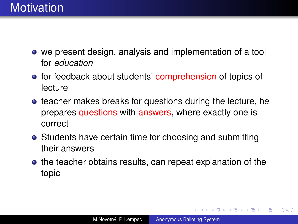- we present design, analysis and implementation of a tool for *education*
- **•** for feedback about students' comprehension of topics of lecture
- **•** teacher makes breaks for questions during the lecture, he prepares questions with answers, where exactly one is correct
- Students have certain time for choosing and submitting their answers
- the teacher obtains results, can repeat explanation of the topic

**K ロ ▶ K 何 ▶ K ヨ ▶ K ヨ ▶** 

÷.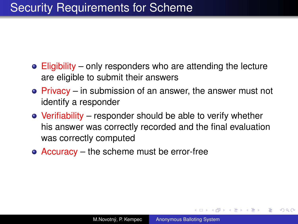## Security Requirements for Scheme

- Eligibility only responders who are attending the lecture are eligible to submit their answers
- Privacy in submission of an answer, the answer must not identify a responder
- Verifiability responder should be able to verify whether his answer was correctly recorded and the final evaluation was correctly computed
- Accuracy the scheme must be error-free

 $\left\{ \bigoplus_{i=1}^{n} \mathbb{P} \left( \mathcal{A} \right) \subseteq \mathbb{P} \left( \mathcal{A} \right) \subseteq \mathbb{P} \right\}$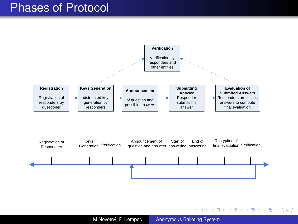### Phases of Protocol



M.Novotný, P. Kempec [Anonymous Balloting System](#page-0-0)

イロト イ押 トイヨ トイヨ トー

 $\Rightarrow$ 

 $299$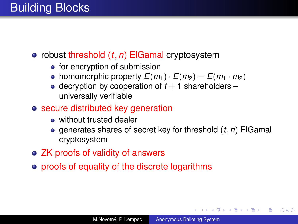- robust threshold  $(t, n)$  ElGamal cryptosystem
	- for encryption of submission
	- homomorphic property  $E(m_1) \cdot E(m_2) = E(m_1 \cdot m_2)$
	- $\bullet$  decryption by cooperation of  $t + 1$  shareholders universally verifiable
- **o** secure distributed key generation
	- without trusted dealer
	- generates shares of secret key for threshold (*t*, *n*) ElGamal cryptosystem
- ZK proofs of validity of answers
- proofs of equality of the discrete logarithms

**K ロ ▶ K 何 ▶ K ヨ ▶ K ヨ ▶** 

G.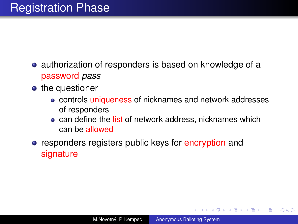- authorization of responders is based on knowledge of a password *pass*
- the questioner
	- controls uniqueness of nicknames and network addresses of responders
	- can define the list of network address, nicknames which can be allowed
- **•** responders registers public keys for encryption and signature

イロト イ押 トイヨ トイヨ トー

÷.  $QQ$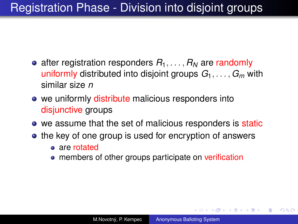## Registration Phase - Division into disjoint groups

- after registration responders  $R_1, \ldots, R_N$  are randomly uniformly distributed into disjoint groups *G*1, . . . , *G<sup>m</sup>* with similar size *n*
- we uniformly distribute malicious responders into disjunctive groups
- we assume that the set of malicious responders is static
- the key of one group is used for encryption of answers
	- are rotated
	- **•** members of other groups participate on verification

イロト イ押 トイヨ トイヨ トーヨー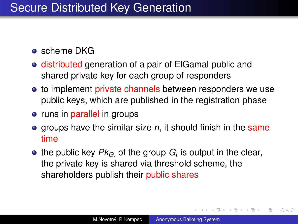## Secure Distributed Key Generation

- **o** scheme DKG
- distributed generation of a pair of ElGamal public and shared private key for each group of responders
- to implement private channels between responders we use public keys, which are published in the registration phase
- runs in parallel in groups
- **•** groups have the similar size *n*, it should finish in the same time
- the public key  $\mathit{Pk}_{G_i}$  of the group  $G_i$  is output in the clear, the private key is shared via threshold scheme, the shareholders publish their public shares

イロト イ団ト イヨト イヨト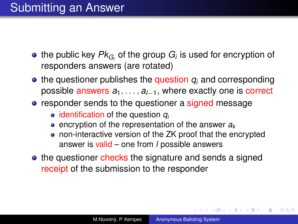- the public key  $\mathit{Pk}_{G_i}$  of the group  $G_i$  is used for encryption of responders answers (are rotated)
- $\bullet$  the questioner publishes the question  $q_i$  and corresponding possible answers *a*1, . . . , *al*−1, where exactly one is correct
- responder sends to the questioner a signed message
	- identification of the question  $q_i$
	- $\bullet$  encryption of the representation of the answer  $a_k$
	- non-interactive version of the ZK proof that the encrypted answer is valid – one from *l* possible answers
- the questioner checks the signature and sends a signed receipt of the submission to the responder

イロト イ団ト イヨト イヨト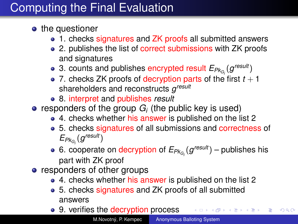## Computing the Final Evaluation

- the questioner
	- 1. checks signatures and ZK proofs all submitted answers
	- 2. publishes the list of correct submissions with ZK proofs and signatures
	- 3. counts and publishes encrypted result  $E_{PK_{G_i}}(g^{result})$
	- 7. checks ZK proofs of decryption parts of the first  $t + 1$ shareholders and reconstructs *g result*
	- 8. interpret and publishes *result*
- responders of the group  $G_i$  (the public key is used)
	- 4. checks whether his answer is published on the list 2
	- 5. checks signatures of all submissions and correctness of  $E_{Pk_{G_i}}(g^{result})$
	- 6. cooperate on decryption of  $E_{P k_{G_i}}(g^{result})$  publishes his part with ZK proof
- responders of other groups
	- 4. checks whether his answer is published on the list 2
	- 5. checks signatures and ZK proofs of all submitted answers
	- 9. verifies the decryption process スコンスコント

 $\equiv$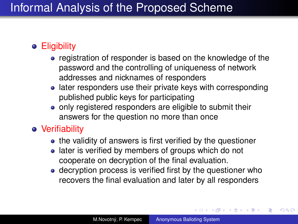## Informal Analysis of the Proposed Scheme

### **•** Eligibility

- registration of responder is based on the knowledge of the password and the controlling of uniqueness of network addresses and nicknames of responders
- later responders use their private keys with corresponding published public keys for participating
- only registered responders are eligible to submit their answers for the question no more than once

### Verifiability

- the validity of answers is first verified by the questioner
- later is verified by members of groups which do not cooperate on decryption of the final evaluation.
- decryption process is verified first by the questioner who recovers the final evaluation and later by all responders

イロト イ団ト イヨト イヨト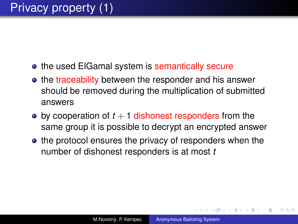- **the used ElGamal system is semantically secure**
- the traceability between the responder and his answer should be removed during the multiplication of submitted answers
- $\bullet$  by cooperation of  $t + 1$  dishonest responders from the same group it is possible to decrypt an encrypted answer
- the protocol ensures the privacy of responders when the number of dishonest responders is at most *t*

<span id="page-11-0"></span> $\langle \oplus \rangle$  >  $\langle \oplus \rangle$  >  $\langle \oplus \rangle$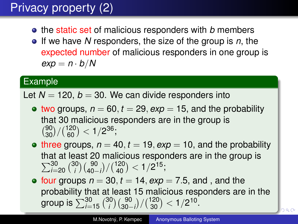# Privacy property (2)

- **•** the static set of malicious responders with *b* members
- If we have *N* responders, the size of the group is *n*, the expected number of malicious responders in one group is  $e$ *xp* =  $n \cdot b/N$

#### Example

Let  $N = 120$ ,  $b = 30$ . We can divide responders into

- two groups,  $n = 60$ ,  $t = 29$ ,  $exp = 15$ , and the probability that 30 malicious responders are in the group is  $\binom{90}{30}/\binom{120}{60}$  < 1/2<sup>36</sup>;
- three groups,  $n = 40$ ,  $t = 19$ ,  $exp = 10$ , and the probability that at least 20 malicious responders are in the group is  $\sum_{i=20}^{30} {30 \choose i}$  $\binom{30}{i}\binom{90}{40-i}/\binom{120}{40} < 1/2^{15};$
- <span id="page-12-0"></span>• four groups  $n = 30$ ,  $t = 14$ ,  $exp = 7.5$ , and , and the probability that at least 15 malicious responders are in the group is  $\sum_{i=15}^{30} \binom{30}{i}$  $\binom{30}{i}\binom{90}{30-i}/\binom{120}{30} < 1/2^{10}.$  $\binom{30}{i}\binom{90}{30-i}/\binom{120}{30} < 1/2^{10}.$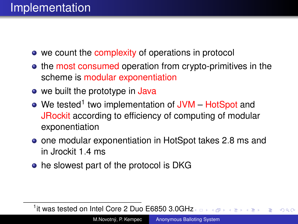- we count the complexity of operations in protocol
- the most consumed operation from crypto-primitives in the scheme is modular exponentiation
- we built the prototype in Java
- We tested<sup>1</sup> two implementation of JVM HotSpot and JRockit according to efficiency of computing of modular exponentiation
- **•** one modular exponentiation in HotSpot takes 2.8 ms and in Jrockit 1.4 ms
- he slowest part of the protocol is DKG

<sup>1</sup>it was tested on Intel Core 2 Duo E6850 3.0GH[z](#page-12-0)  $QQ$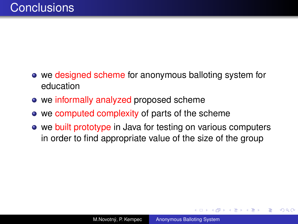- we designed scheme for anonymous balloting system for education
- we informally analyzed proposed scheme
- we computed complexity of parts of the scheme
- we built prototype in Java for testing on various computers in order to find appropriate value of the size of the group

 $2990$ 

B

メラメメラト